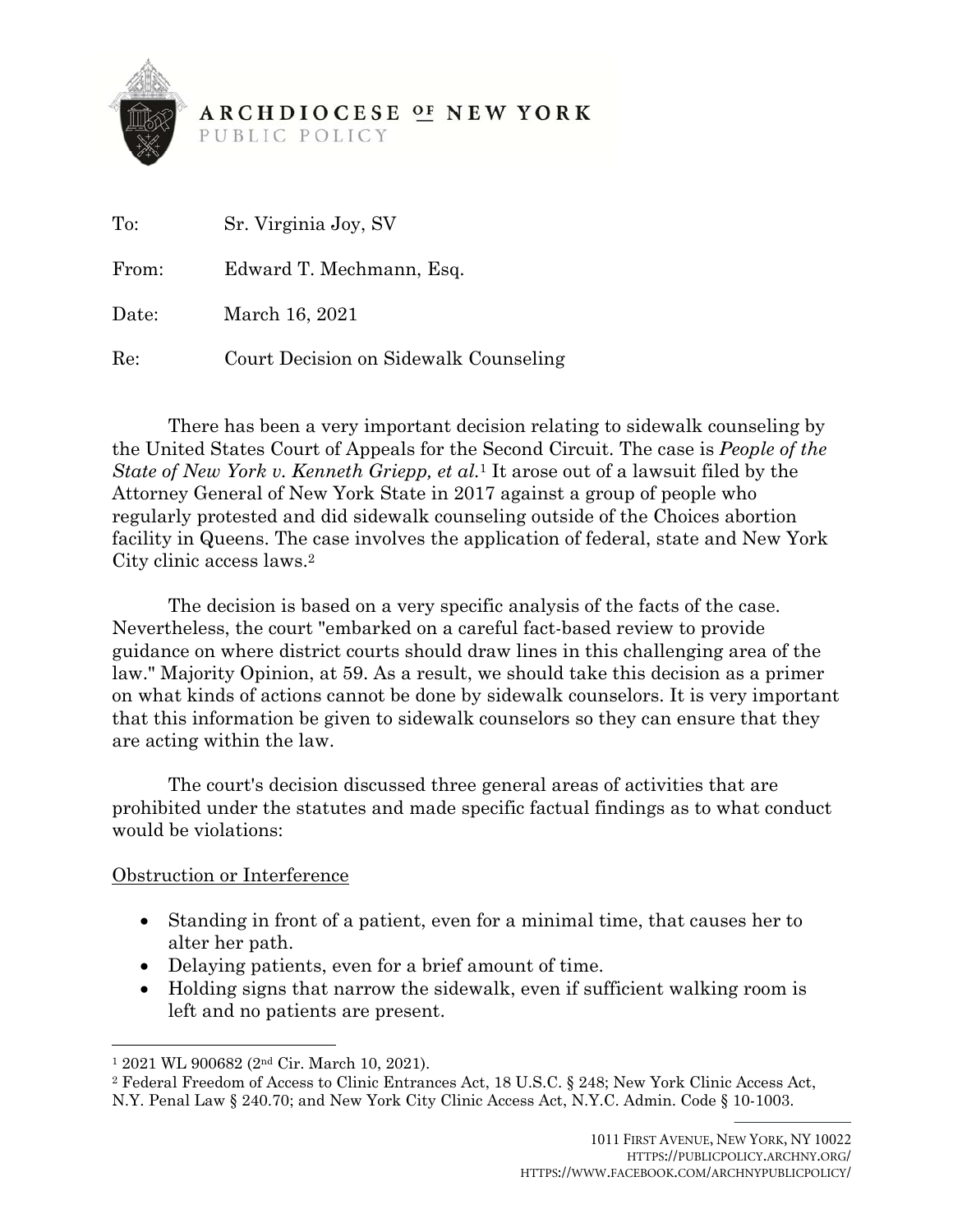

# **ARCHDIOCESE OF NEW YORK**

PUBLIC POLICY

| $\mathrm{To:}$ | Sr. Virginia Joy, SV                  |
|----------------|---------------------------------------|
| From:          | Edward T. Mechmann, Esq.              |
| Date:          | March 16, 2021                        |
| Re:            | Court Decision on Sidewalk Counseling |

 There has been a very important decision relating to sidewalk counseling by the United States Court of Appeals for the Second Circuit. The case is *People of the State of New York v. Kenneth Griepp, et al.*1 It arose out of a lawsuit filed by the Attorney General of New York State in 2017 against a group of people who regularly protested and did sidewalk counseling outside of the Choices abortion facility in Queens. The case involves the application of federal, state and New York City clinic access laws.2

 The decision is based on a very specific analysis of the facts of the case. Nevertheless, the court "embarked on a careful fact-based review to provide guidance on where district courts should draw lines in this challenging area of the law." Majority Opinion, at 59. As a result, we should take this decision as a primer on what kinds of actions cannot be done by sidewalk counselors. It is very important that this information be given to sidewalk counselors so they can ensure that they are acting within the law.

 The court's decision discussed three general areas of activities that are prohibited under the statutes and made specific factual findings as to what conduct would be violations:

#### Obstruction or Interference

l

- Standing in front of a patient, even for a minimal time, that causes her to alter her path.
- Delaying patients, even for a brief amount of time.
- Holding signs that narrow the sidewalk, even if sufficient walking room is left and no patients are present.

<sup>1 2021</sup> WL 900682 (2nd Cir. March 10, 2021). 2 Federal Freedom of Access to Clinic Entrances Act, 18 U.S.C. § 248; New York Clinic Access Act, N.Y. Penal Law § 240.70; and New York City Clinic Access Act, N.Y.C. Admin. Code § 10-1003.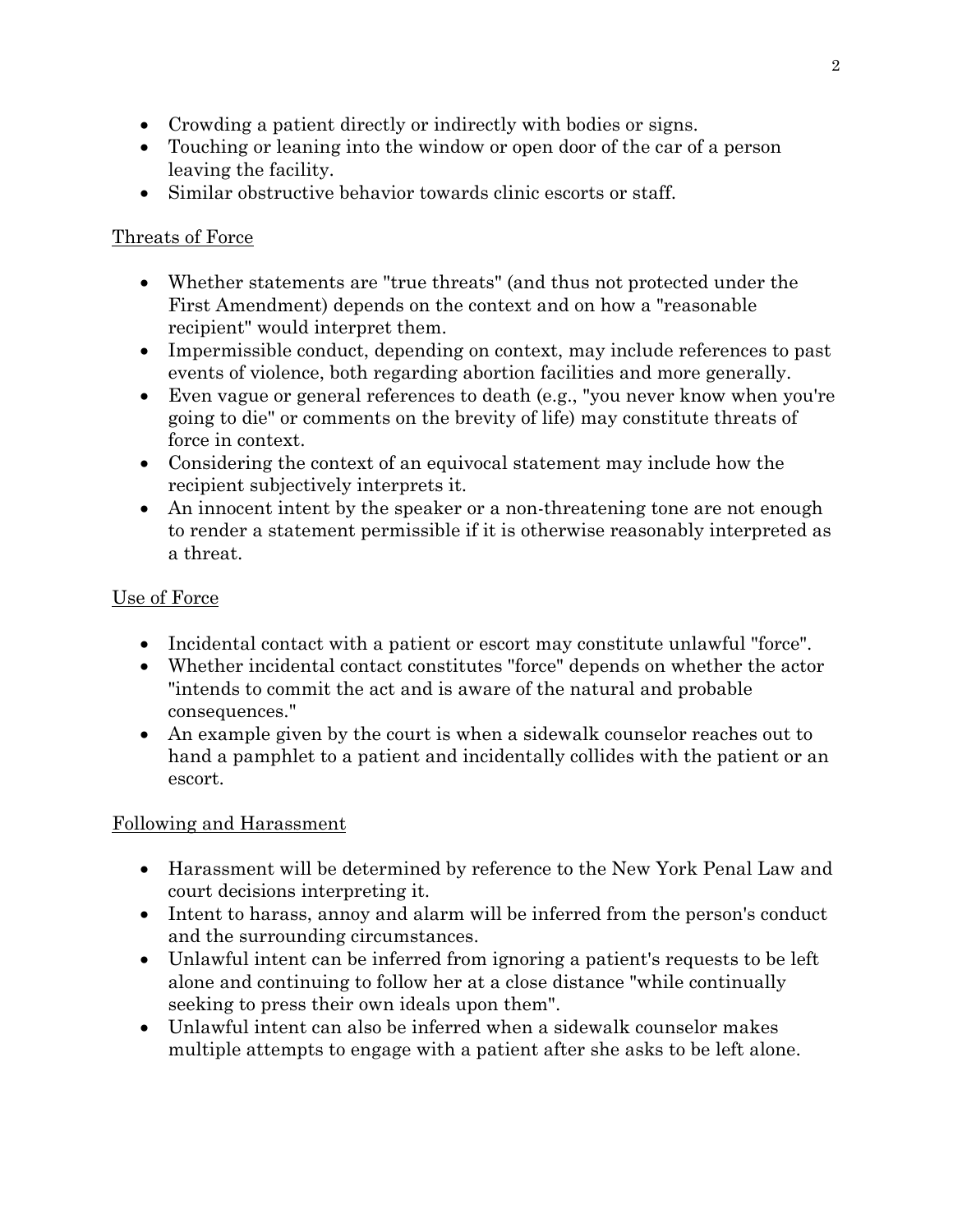- Crowding a patient directly or indirectly with bodies or signs.
- Touching or leaning into the window or open door of the car of a person leaving the facility.
- Similar obstructive behavior towards clinic escorts or staff.

### Threats of Force

- Whether statements are "true threats" (and thus not protected under the First Amendment) depends on the context and on how a "reasonable recipient" would interpret them.
- Impermissible conduct, depending on context, may include references to past events of violence, both regarding abortion facilities and more generally.
- Even vague or general references to death (e.g., "you never know when you're going to die" or comments on the brevity of life) may constitute threats of force in context.
- Considering the context of an equivocal statement may include how the recipient subjectively interprets it.
- An innocent intent by the speaker or a non-threatening tone are not enough to render a statement permissible if it is otherwise reasonably interpreted as a threat.

## Use of Force

- Incidental contact with a patient or escort may constitute unlawful "force".
- Whether incidental contact constitutes "force" depends on whether the actor "intends to commit the act and is aware of the natural and probable consequences."
- An example given by the court is when a sidewalk counselor reaches out to hand a pamphlet to a patient and incidentally collides with the patient or an escort.

#### Following and Harassment

- Harassment will be determined by reference to the New York Penal Law and court decisions interpreting it.
- Intent to harass, annoy and alarm will be inferred from the person's conduct and the surrounding circumstances.
- Unlawful intent can be inferred from ignoring a patient's requests to be left alone and continuing to follow her at a close distance "while continually seeking to press their own ideals upon them".
- Unlawful intent can also be inferred when a sidewalk counselor makes multiple attempts to engage with a patient after she asks to be left alone.